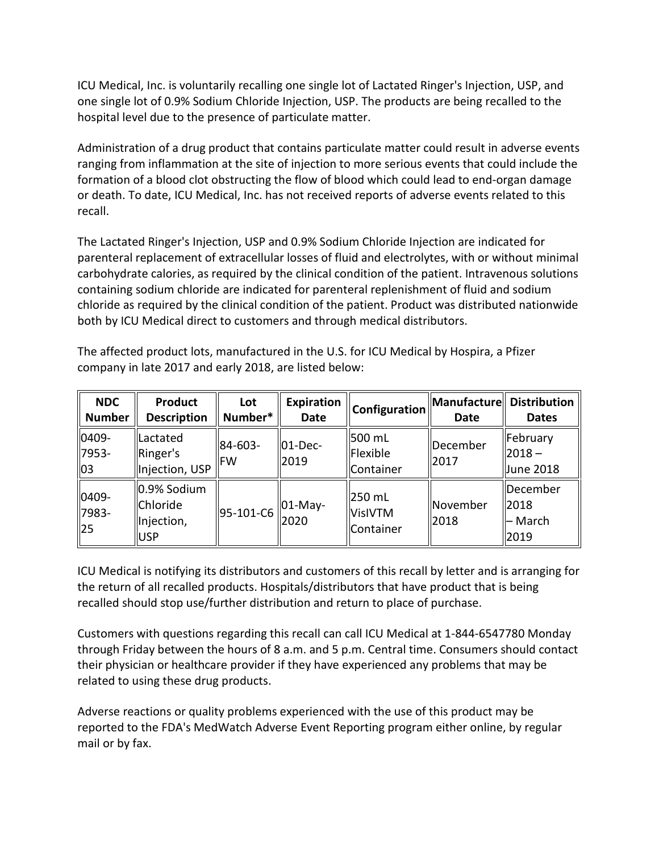one single lot of 0.9% Sodium Chloride Injection, USP. The products are being recalled to the hospital level due to the presence of particulate matter. ICU Medical, Inc. is voluntarily recalling one single lot of Lactated Ringer's Injection, USP, and

 Administration of a drug product that contains particulate matter could result in adverse events formation of a blood clot obstructing the flow of blood which could lead to end-organ damage ranging from inflammation at the site of injection to more serious events that could include the or death. To date, ICU Medical, Inc. has not received reports of adverse events related to this recall.

 parenteral replacement of extracellular losses of fluid and electrolytes, with or without minimal The Lactated Ringer's Injection, USP and 0.9% Sodium Chloride Injection are indicated for carbohydrate calories, as required by the clinical condition of the patient. Intravenous solutions containing sodium chloride are indicated for parenteral replenishment of fluid and sodium chloride as required by the clinical condition of the patient. Product was distributed nationwide both by ICU Medical direct to customers and through medical distributors.

The affected product lots, manufactured in the U.S. for ICU Medical by Hospira, a Pfizer company in late 2017 and early 2018, are listed below:

| <b>NDC</b><br><b>Number</b> | <b>Product</b><br><b>Description</b>         | Lot<br>Number*        | Expiration<br>Date | Configuration                         | Manufacture<br>Date     | <b>Distribution</b><br><b>Dates</b>         |
|-----------------------------|----------------------------------------------|-----------------------|--------------------|---------------------------------------|-------------------------|---------------------------------------------|
| 0409-<br>7953-<br>103       | Lactated<br>Ringer's<br>Injection, USP       | 84-603-<br><b>IFW</b> | ll01-Dec-<br>2019  | 500 mL<br>Flexible<br>Container       | December<br>2017        | February<br>$ 2018 -$<br>Uune 2018          |
| 0409-<br>7983-<br> 25       | 0.9% Sodium<br>Chloride<br>Injection,<br>USP | 95-101-C6             | $ 01-May-$<br>2020 | 250 mL<br><b>VisIVTM</b><br>Container | <b>November</b><br>2018 | <b>December</b><br>12018<br>– March<br>2019 |

 ICU Medical is notifying its distributors and customers of this recall by letter and is arranging for the return of all recalled products. Hospitals/distributors that have product that is being recalled should stop use/further distribution and return to place of purchase.

 Customers with questions regarding this recall can call ICU Medical at 1-844-6547780 Monday through Friday between the hours of 8 a.m. and 5 p.m. Central time. Consumers should contact their physician or healthcare provider if they have experienced any problems that may be related to using these drug products.

 Adverse reactions or quality problems experienced with the use of this product may be reported to the FDA's MedWatch Adverse Event Reporting program either online, by regular mail or by fax.